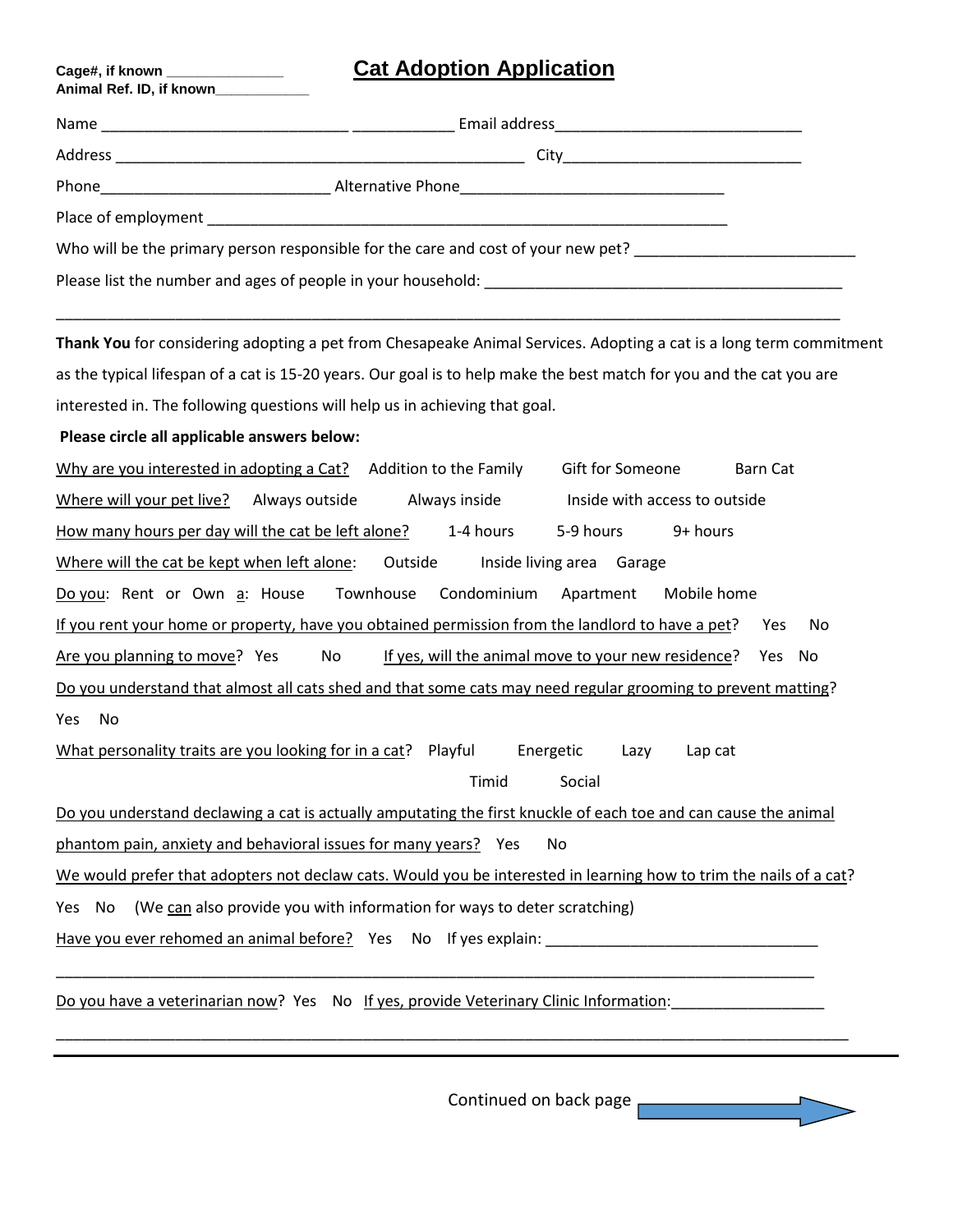## **Cage#, if known \_\_\_\_\_\_\_\_\_\_\_\_\_\_\_ Cat Adoption Application**

| Who will be the primary person responsible for the care and cost of your new pet?                                                                                                                                              |  |  |
|--------------------------------------------------------------------------------------------------------------------------------------------------------------------------------------------------------------------------------|--|--|
| Please list the number and ages of people in your household: example and all the number of the state of the state of the state of the state of the state of the state of the state of the state of the state of the state of t |  |  |

\_\_\_\_\_\_\_\_\_\_\_\_\_\_\_\_\_\_\_\_\_\_\_\_\_\_\_\_\_\_\_\_\_\_\_\_\_\_\_\_\_\_\_\_\_\_\_\_\_\_\_\_\_\_\_\_\_\_\_\_\_\_\_\_\_\_\_\_\_\_\_\_\_\_\_\_\_\_\_\_\_\_\_\_\_\_\_\_\_\_\_\_

**Thank You** for considering adopting a pet from Chesapeake Animal Services. Adopting a cat is a long term commitment as the typical lifespan of a cat is 15-20 years. Our goal is to help make the best match for you and the cat you are interested in. The following questions will help us in achieving that goal.

## **Please circle all applicable answers below:**

**Animal Ref. ID, if known\_\_\_\_\_\_\_\_\_\_\_\_**

| Why are you interested in adopting a Cat? Addition to the Family                                                   |                                                     | Gift for Someone  | Barn Cat                      |    |  |
|--------------------------------------------------------------------------------------------------------------------|-----------------------------------------------------|-------------------|-------------------------------|----|--|
| Where will your pet live?<br>Always outside                                                                        | Always inside                                       |                   | Inside with access to outside |    |  |
| How many hours per day will the cat be left alone?                                                                 | 1-4 hours                                           | 5-9 hours         | 9+ hours                      |    |  |
| Where will the cat be kept when left alone:<br>Outside<br>Inside living area<br>Garage                             |                                                     |                   |                               |    |  |
| Do you: Rent or Own a: House                                                                                       | Townhouse<br>Condominium                            | Apartment         | Mobile home                   |    |  |
| If you rent your home or property, have you obtained permission from the landlord to have a pet?                   |                                                     |                   | Yes                           | No |  |
| Are you planning to move? Yes<br>No                                                                                | If yes, will the animal move to your new residence? |                   | <b>Yes</b>                    | No |  |
| Do you understand that almost all cats shed and that some cats may need regular grooming to prevent matting?       |                                                     |                   |                               |    |  |
| No<br>Yes                                                                                                          |                                                     |                   |                               |    |  |
| What personality traits are you looking for in a cat? Playful                                                      |                                                     | Energetic<br>Lazy | Lap cat                       |    |  |
|                                                                                                                    | Timid                                               | Social            |                               |    |  |
| Do you understand declawing a cat is actually amputating the first knuckle of each toe and can cause the animal    |                                                     |                   |                               |    |  |
| phantom pain, anxiety and behavioral issues for many years? Yes                                                    |                                                     | No.               |                               |    |  |
| We would prefer that adopters not declaw cats. Would you be interested in learning how to trim the nails of a cat? |                                                     |                   |                               |    |  |
| (We can also provide you with information for ways to deter scratching)<br>Yes.<br>No.                             |                                                     |                   |                               |    |  |
| Have you ever rehomed an animal before? Yes No If yes explain:                                                     |                                                     |                   |                               |    |  |

\_\_\_\_\_\_\_\_\_\_\_\_\_\_\_\_\_\_\_\_\_\_\_\_\_\_\_\_\_\_\_\_\_\_\_\_\_\_\_\_\_\_\_\_\_\_\_\_\_\_\_\_\_\_\_\_\_\_\_\_\_\_\_\_\_\_\_\_\_\_\_\_\_\_\_\_\_\_\_\_\_\_\_\_\_\_\_\_\_

\_\_\_\_\_\_\_\_\_\_\_\_\_\_\_\_\_\_\_\_\_\_\_\_\_\_\_\_\_\_\_\_\_\_\_\_\_\_\_\_\_\_\_\_\_\_\_\_\_\_\_\_\_\_\_\_\_\_\_\_\_\_\_\_\_\_\_\_\_\_\_\_\_\_\_\_\_\_\_\_\_\_\_\_\_\_\_\_\_\_\_\_\_

Do you have a veterinarian now? Yes No If yes, provide Veterinary Clinic Information:

Continued on back page